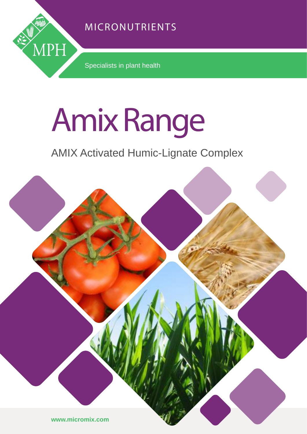## MICRONUTRIENTS



Specialists in plant health

# Amix Range

## AMIX Activated Humic-Lignate Complex

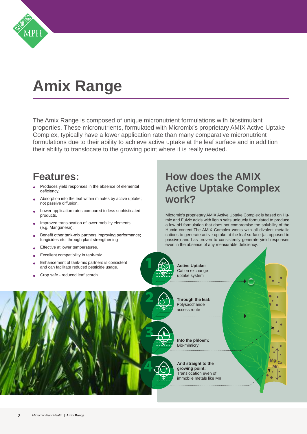

## **Amix Range**

The Amix Range is composed of unique micronutrient formulations with biostimulant properties. These micronutrients, formulated with Micromix's proprietary AMIX Active Uptake Complex, typically have a lower application rate than many comparative micronutrient formulations due to their ability to achieve active uptake at the leaf surface and in addition their ability to translocate to the growing point where it is really needed.

## **Features:**

- Produces yield responses in the absence of elemental deficiency.
- Absorption into the leaf within minutes by active uptake; not passive diffusion.
- Lower application rates compared to less sophisticated products.
- Improved translocation of lower mobility elements (e.g. Manganese).
- Benefit other tank-mix partners improving performance; fungicides etc. through plant strengthening
- Effective at lower temperatures.
- Excellent compatibility in tank-mix.
- Enhancement of tank-mix partners is consistent and can facilitate reduced pesticide usage.
- Crop safe reduced leaf scorch.

## **How does the AMIX Active Uptake Complex work?**

Micromix's proprietary AMIX Active Uptake Complex is based on Humic and Fulvic acids with lignin salts uniquely formulated to produce a low pH formulation that does not compromise the solubility of the Humic content.The AMIX Complex works with all divalent metallic cations to generate active uptake at the leaf surface (as opposed to passive) and has proven to consistently generate yield responses even in the absence of any measurable deficiency.

> **Mg Ca Mn**



2

3

4

- **Active Uptake:** Cation exchange uptake system
- 2 **Through the leaf:**  Polysaccharide access route

3 **Into the phloem:** Bio-mimicry

4 **And straight to the growing point:**  Translocation even of immobile metals like Mn

 $M_{\rm A}$ **Mn**

**Mg Ca Mn**

**And straight to the** 

**The leaf** Polysaccharide  $\overline{a}$ 

**Into the phloem:**  Bio-mimicry

**And straight to the growing point:** Translocation even of immobile metals like Maria and die Staats werd aan die 19de eeu n.C. Soos ander die 19de eeu n.C. Soos ander d<br>Gebeure

Translocation even of r arm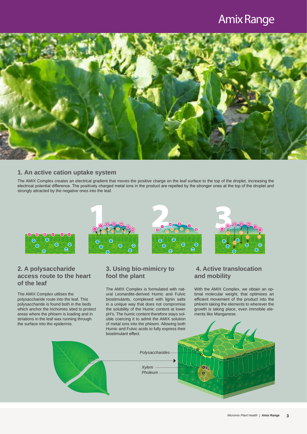## Amix Range



#### **1. An active cation uptake system**

The AMIX Complex creates an electrical gradient that moves the positive charge on the leaf surface to the top of the droplet, increasing the electrical potential difference. The positively charged metal ions in the product are repelled by the stronger ones at the top of the droplet and strongly attracted by the negative ones into the leaf.



#### **2. A polysaccharide access route to the heart of the leaf**

The AMIX Complex utilises the polysaccharide route into the leaf. This polysaccharide is found both in the beds which anchor the trichomes sited to protect areas where the phloem is loading and in striations in the leaf wax running through the surface into the epidermis.

#### **3. Using bio-mimicry to fool the plant**

The AMIX Complex is formulated with natural Leonardite-derived Humic and Fulvic biostimulants, complexed with lignin salts in a unique way that does not compromise the solubility of the Humic content at lower pH's. The humic content therefore stays soluble coercing it to admit the AMIX solution of metal ions into the phloem. Allowing both Humic and Fulvic acids to fully express their biostimulant effect.

Xylem ......

#### **4. Active translocation and mobility**

With the AMIX Complex, we obtain an optimal molecular weight, that optimises an efficient movement of the product into the phloem taking the elements to wherever the growth is taking place, even immobile elements like Manganese.

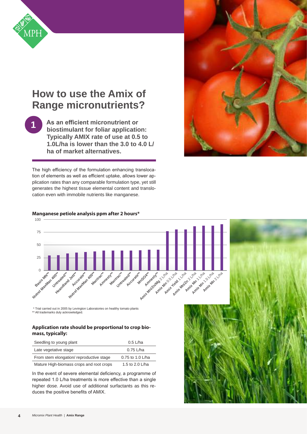

**1**

## **How to use the Amix of Range micronutrients?**

**As an efficient micronutrient or biostimulant for foliar application: Typically AMIX rate of use at 0.5 to 1.0L/ha is lower than the 3.0 to 4.0 L/ ha of market alternatives.**

The high efficiency of the formulation enhancing translocation of elements as well as efficient uptake, allows lower application rates than any comparable formulation type, yet still generates the highest tissue elemental content and translocation even with immobile nutrients like manganese.



19/10/2015

25/10/2015

 $\rightarrow$ 

#### **Manganese petiole analysis ppm after 2 hours\***

 \* Trial carried out in 2005 by Levington Laboratories on healthy tomato plants \*\* All trademarks duly acknowledged.

#### **Application rate should be proportional to crop biomass, typically:** 16.0

| Seedling to young plant                  | $0.5$ L/ha       |
|------------------------------------------|------------------|
| Late vegetative stage                    | $0.75$ L/ha      |
| From stem elongation/reproductive stage  | 0.75 to 1.0 L/ha |
| Mature High-biomass crops and root crops | 1.5 to 2.0 L/ha  |

In the event of severe elemental deficiency, a programme of repeated 1.0 L/ha treatments is more effective than a single higher dose. Avoid use of additional surfactants as this reduces the positive benefits of AMIX. at<br>— rc<br>Ia<br>pe<br>ph<br>jc

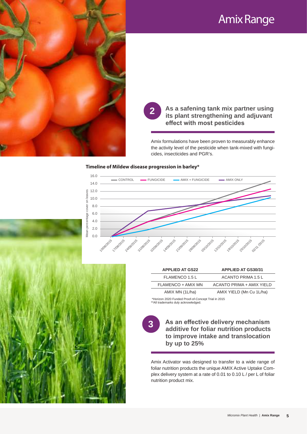

**Mantrac\*\* Amnesty\*\* 2**

### **Its plant strengthening and effect with most pesticides**<br>ix formulations have been proven to measure **Amiltical Strengthening and adjuvant effect with most pesticides As a safening tank mix partner using effect with most pesticides**

Amix formulations have been proven to measurably enhance the activity level of the pesticide when tank-mixed with fungicides, insecticides and PGR's.

#### **Timeline of Mildew disease progression in barley\***



| <b>APPLIED AT GS22</b> | <b>APPLIED AT GS30/31</b> |  |  |  |  |  |  |
|------------------------|---------------------------|--|--|--|--|--|--|
| FLAMENCO 1.5 L         | ACANTO PRIMA 1.5 L        |  |  |  |  |  |  |
| FLAMENCO + AMIX MN     | ACANTO PRIMA + AMIX YIELD |  |  |  |  |  |  |
| AMIX MN (1L/ha)        | AMIX YIELD (Mn Cu 1L/ha)  |  |  |  |  |  |  |
|                        |                           |  |  |  |  |  |  |

forizon 2020 Funded Proof-of-Concept Trial in 2015 \*\*All trademarks duly acknowledged.

**3**

**As an effective delivery mechanism additive for foliar nutrition products to improve intake and translocation by up to 25%**

Amix Activator was designed to transfer to a wide range of foliar nutrition products the unique AMIX Active Uptake Complex delivery system at a rate of 0.01 to 0.10 L / per L of foliar nutrition product mix.